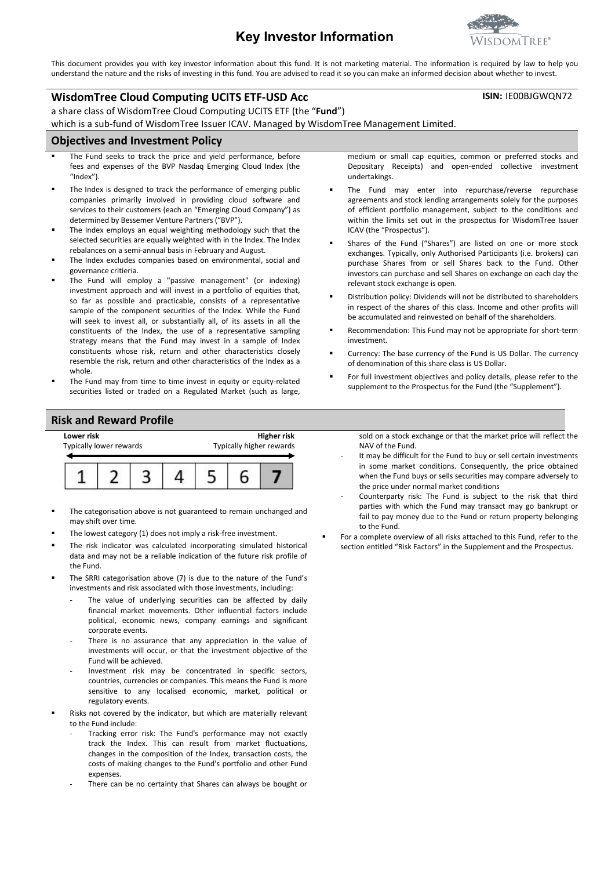# **Key Investor Information**

This document provides you with key investor information about this fund. It is not marketing material. The information is required by law to help you understand the nature and the risks of investing in this fund. You are advised to read it so you can make an informed decision about whether to invest.

#### **WisdomTree Cloud Computing UCITS ETF-USD Acc**

a share class of WisdomTree Cloud Computing UCITS ETF (the "**Fund**")

which is a sub-fund of WisdomTree Issuer ICAV. Managed by WisdomTree Management Limited.

#### **Objectives and Investment Policy**

- The Fund seeks to track the price and yield performance, before fees and expenses of the BVP Nasdaq Emerging Cloud Index (the "Index").
- The Index is designed to track the performance of emerging public companies primarily involved in providing cloud software and services to their customers (each an "Emerging Cloud Company") as determined by Bessemer Venture Partners ("BVP").
- The Index employs an equal weighting methodology such that the selected securities are equally weighted with in the Index. The Index rebalances on a semi-annual basis in February and August.
- The Index excludes companies based on environmental, social and governance critieria.
- The Fund will employ a "passive management" (or indexing) investment approach and will invest in a portfolio of equities that, so far as possible and practicable, consists of a representative sample of the component securities of the Index. While the Fund will seek to invest all, or substantially all, of its assets in all the constituents of the Index, the use of a representative sampling strategy means that the Fund may invest in a sample of Index constituents whose risk, return and other characteristics closely resemble the risk, return and other characteristics of the Index as a whole.
- The Fund may from time to time invest in equity or equity-related securities listed or traded on a Regulated Market (such as large,

### **Risk and Reward Profile**



- The categorisation above is not guaranteed to remain unchanged and may shift over time.
- The lowest category (1) does not imply a risk-free investment.
- The risk indicator was calculated incorporating simulated historical data and may not be a reliable indication of the future risk profile of the Fund.
- The SRRI categorisation above (7) is due to the nature of the Fund's investments and risk associated with those investments, including:
	- The value of underlying securities can be affected by daily financial market movements. Other influential factors include political, economic news, company earnings and significant corporate events.
	- There is no assurance that any appreciation in the value of investments will occur, or that the investment objective of the Fund will be achieved.
	- Investment risk may be concentrated in specific sectors, countries, currencies or companies. This means the Fund is more sensitive to any localised economic, market, political or regulatory events.
- Risks not covered by the indicator, but which are materially relevant to the Fund include:
	- Tracking error risk: The Fund's performance may not exactly track the Index. This can result from market fluctuations, changes in the composition of the Index, transaction costs, the costs of making changes to the Fund's portfolio and other Fund expenses.
	- There can be no certainty that Shares can always be bought or

medium or small cap equities, common or preferred stocks and Depositary Receipts) and open-ended collective investment undertakings.

- The Fund may enter into repurchase/reverse repurchase agreements and stock lending arrangements solely for the purposes of efficient portfolio management, subject to the conditions and within the limits set out in the prospectus for WisdomTree Issuer ICAV (the "Prospectus").
- Shares of the Fund ("Shares") are listed on one or more stock exchanges. Typically, only Authorised Participants (i.e. brokers) can purchase Shares from or sell Shares back to the Fund. Other investors can purchase and sell Shares on exchange on each day the relevant stock exchange is open.
- Distribution policy: Dividends will not be distributed to shareholders in respect of the shares of this class. Income and other profits will be accumulated and reinvested on behalf of the shareholders.
- Recommendation: This Fund may not be appropriate for short-term investment.
- Currency: The base currency of the Fund is US Dollar. The currency of denomination of this share class is US Dollar.
- For full investment objectives and policy details, please refer to the supplement to the Prospectus for the Fund (the "Supplement").

sold on a stock exchange or that the market price will reflect the NAV of the Fund.

- It may be difficult for the Fund to buy or sell certain investments in some market conditions. Consequently, the price obtained when the Fund buys or sells securities may compare adversely to the price under normal market conditions
- Counterparty risk: The Fund is subject to the risk that third parties with which the Fund may transact may go bankrupt or fail to pay money due to the Fund or return property belonging to the Fund.
- For a complete overview of all risks attached to this Fund, refer to the section entitled "Risk Factors" in the Supplement and the Prospectus.